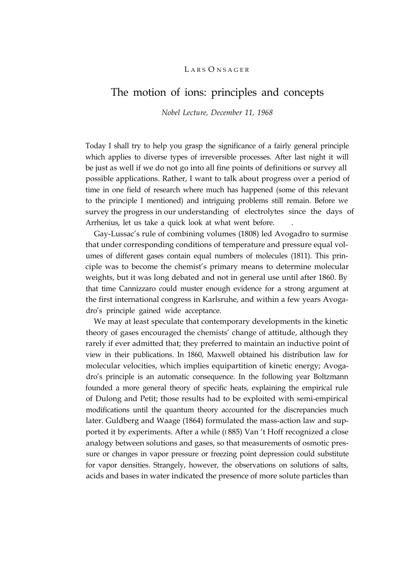## LARS ONSAGER

## The motion of ions: principles and concepts

*Nobel Lecture, December 11, 1968*

Today I shall try to help you grasp the significance of a fairly general principle which applies to diverse types of irreversible processes. After last night it will be just as well if we do not go into all fine points of definitions or survey all possible applications. Rather, I want to talk about progress over a period of time in one field of research where much has happened (some of this relevant to the principle I mentioned) and intriguing problems still remain. Before we survey the progress in our understanding of electrolytes since the days of Arrhenius, let us take a quick look at what went before.

Gay-Lussac's rule of combining volumes (1808) led Avogadro to surmise that under corresponding conditions of temperature and pressure equal volumes of different gases contain equal numbers of molecules (1811). This principle was to become the chemist's primary means to determine molecular weights, but it was long debated and not in general use until after 1860. By that time Cannizzaro could muster enough evidence for a strong argument at the first international congress in Karlsruhe, and within a few years Avogadro's principle gained wide acceptance.

We may at least speculate that contemporary developments in the kinetic theory of gases encouraged the chemists' change of attitude, although they rarely if ever admitted that; they preferred to maintain an inductive point of view in their publications. In 1860, Maxwell obtained his distribution law for molecular velocities, which implies equipartition of kinetic energy; Avogadro's principle is an automatic consequence. In the following year Boltzmann founded a more general theory of specific heats, explaining the empirical rule of Dulong and Petit; those results had to be exploited with semi-empirical modifications until the quantum theory accounted for the discrepancies much later. Guldberg and Waage (1864) formulated the mass-action law and supported it by experiments. After a while (I 885) Van 't Hoff recognized a close analogy between solutions and gases, so that measurements of osmotic pressure or changes in vapor pressure or freezing point depression could substitute for vapor densities. Strangely, however, the observations on solutions of salts, acids and bases in water indicated the presence of more solute particles than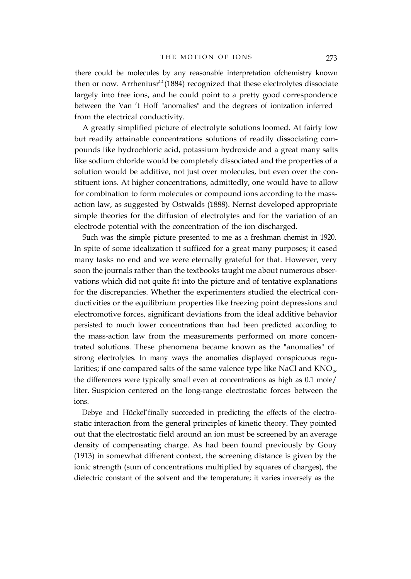there could be molecules by any reasonable interpretation ofchemistry known then or now. Arrhenius $r^{12}$ (1884) recognized that these electrolytes dissociate largely into free ions, and he could point to a pretty good correspondence between the Van 't Hoff "anomalies" and the degrees of ionization inferred from the electrical conductivity.

A greatly simplified picture of electrolyte solutions loomed. At fairly low but readily attainable concentrations solutions of readily dissociating compounds like hydrochloric acid, potassium hydroxide and a great many salts like sodium chloride would be completely dissociated and the properties of a solution would be additive, not just over molecules, but even over the constituent ions. At higher concentrations, admittedly, one would have to allow for combination to form molecules or compound ions according to the massaction law, as suggested by Ostwalds (1888). Nernst developed appropriate simple theories for the diffusion of electrolytes and for the variation of an electrode potential with the concentration of the ion discharged.

Such was the simple picture presented to me as a freshman chemist in 1920. In spite of some idealization it sufficed for a great many purposes; it eased many tasks no end and we were eternally grateful for that. However, very soon the journals rather than the textbooks taught me about numerous observations which did not quite fit into the picture and of tentative explanations for the discrepancies. Whether the experimenters studied the electrical conductivities or the equilibrium properties like freezing point depressions and electromotive forces, significant deviations from the ideal additive behavior persisted to much lower concentrations than had been predicted according to the mass-action law from the measurements performed on more concentrated solutions. These phenomena became known as the "anomalies" of strong electrolytes. In many ways the anomalies displayed conspicuous regularities; if one compared salts of the same valence type like NaCl and KNO<sub> $<sub>y</sub>$ </sub></sub> the differences were typically small even at concentrations as high as 0.1 mole/ liter. Suspicion centered on the long-range electrostatic forces between the ions.

Debye and Hückel<sup>4</sup> finally succeeded in predicting the effects of the electrostatic interaction from the general principles of kinetic theory. They pointed out that the electrostatic field around an ion must be screened by an average density of compensating charge. As had been found previously by Gouy (1913) in somewhat different context, the screening distance is given by the ionic strength (sum of concentrations multiplied by squares of charges), the dielectric constant of the solvent and the temperature; it varies inversely as the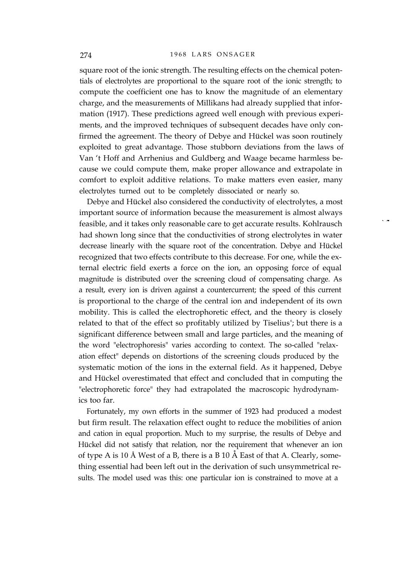square root of the ionic strength. The resulting effects on the chemical potentials of electrolytes are proportional to the square root of the ionic strength; to compute the coefficient one has to know the magnitude of an elementary charge, and the measurements of Millikans had already supplied that information (1917). These predictions agreed well enough with previous experiments, and the improved techniques of subsequent decades have only confirmed the agreement. The theory of Debye and Hückel was soon routinely exploited to great advantage. Those stubborn deviations from the laws of Van 't Hoff and Arrhenius and Guldberg and Waage became harmless because we could compute them, make proper allowance and extrapolate in comfort to exploit additive relations. To make matters even easier, many electrolytes turned out to be completely dissociated or nearly so.

Debye and Hückel also considered the conductivity of electrolytes, a most important source of information because the measurement is almost always feasible, and it takes only reasonable care to get accurate results. Kohlrausch had shown long since that the conductivities of strong electrolytes in water decrease linearly with the square root of the concentration. Debye and Hückel recognized that two effects contribute to this decrease. For one, while the external electric field exerts a force on the ion, an opposing force of equal magnitude is distributed over the screening cloud of compensating charge. As a result, every ion is driven against a countercurrent; the speed of this current is proportional to the charge of the central ion and independent of its own mobility. This is called the electrophoretic effect, and the theory is closely related to that of the effect so profitably utilized by Tiselius<sup>6</sup>; but there is a significant difference between small and large particles, and the meaning of the word "electrophoresis" varies according to context. The so-called "relaxation effect" depends on distortions of the screening clouds produced by the systematic motion of the ions in the external field. As it happened, Debye and Hückel overestimated that effect and concluded that in computing the "electrophoretic force" they had extrapolated the macroscopic hydrodynamics too far.

Fortunately, my own efforts in the summer of 1923 had produced a modest but firm result. The relaxation effect ought to reduce the mobilities of anion and cation in equal proportion. Much to my surprise, the results of Debye and Hückel did not satisfy that relation, nor the requirement that whenever an ion of type A is 10 Å West of a B, there is a B 10 Å East of that A. Clearly, something essential had been left out in the derivation of such unsymmetrical results. The model used was this: one particular ion is constrained to move at a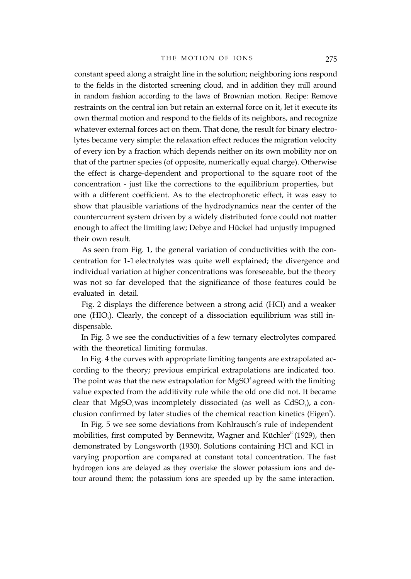constant speed along a straight line in the solution; neighboring ions respond to the fields in the distorted screening cloud, and in addition they mill around in random fashion according to the laws of Brownian motion. Recipe: Remove restraints on the central ion but retain an external force on it, let it execute its own thermal motion and respond to the fields of its neighbors, and recognize whatever external forces act on them. That done, the result for binary electrolytes became very simple: the relaxation effect reduces the migration velocity of every ion by a fraction which depends neither on its own mobility nor on that of the partner species (of opposite, numerically equal charge). Otherwise the effect is charge-dependent and proportional to the square root of the concentration - just like the corrections to the equilibrium properties, but with a different coefficient. As to the electrophoretic effect, it was easy to show that plausible variations of the hydrodynamics near the center of the countercurrent system driven by a widely distributed force could not matter enough to affect the limiting law; Debye and Hückel had unjustly impugned their own result.

As seen from Fig. 1, the general variation of conductivities with the concentration for 1-1 electrolytes was quite well explained; the divergence and individual variation at higher concentrations was foreseeable, but the theory was not so far developed that the significance of those features could be evaluated in detail.

Fig. 2 displays the difference between a strong acid (HCl) and a weaker one (HIO<sub>3</sub>). Clearly, the concept of a dissociation equilibrium was still indispensable.

In Fig. 3 we see the conductivities of a few ternary electrolytes compared with the theoretical limiting formulas.

In Fig. 4 the curves with appropriate limiting tangents are extrapolated according to the theory; previous empirical extrapolations are indicated too. The point was that the new extrapolation for  $MgSO<sup>4</sup>$  agreed with the limiting value expected from the additivity rule while the old one did not. It became clear that MgSO<sub>4</sub> was incompletely dissociated (as well as CdSO<sub>4</sub>), a conclusion confirmed by later studies of the chemical reaction kinetics (Eigen<sup>9</sup>).

In Fig. 5 we see some deviations from Kohlrausch's rule of independent mobilities, first computed by Bennewitz, Wagner and Küchler<sup>10</sup> (1929), then demonstrated by Longsworth (1930). Solutions containing HCl and KCl in varying proportion are compared at constant total concentration. The fast hydrogen ions are delayed as they overtake the slower potassium ions and detour around them; the potassium ions are speeded up by the same interaction.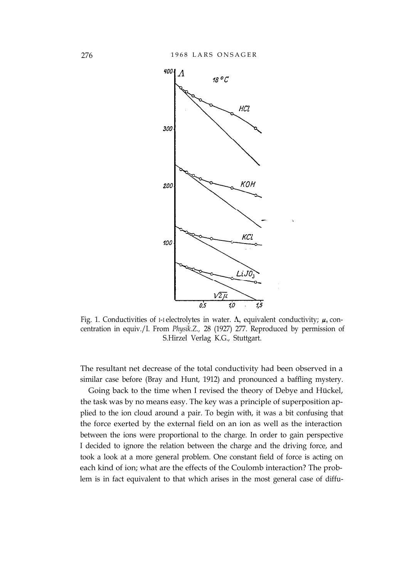

Fig. 1. Conductivities of I-I electrolytes in water. A, equivalent conductivity;  $\mu$ , concentration in equiv./I. From *Physik.Z.,* 28 (1927) 277. Reproduced by permission of S.Hirzel Verlag K.G., Stuttgart.

The resultant net decrease of the total conductivity had been observed in a similar case before (Bray and Hunt, 1912) and pronounced a baffling mystery.

Going back to the time when I revised the theory of Debye and Hückel, the task was by no means easy. The key was a principle of superposition applied to the ion cloud around a pair. To begin with, it was a bit confusing that the force exerted by the external field on an ion as well as the interaction between the ions were proportional to the charge. In order to gain perspective I decided to ignore the relation between the charge and the driving force, and took a look at a more general problem. One constant field of force is acting on each kind of ion; what are the effects of the Coulomb interaction? The problem is in fact equivalent to that which arises in the most general case of diffu-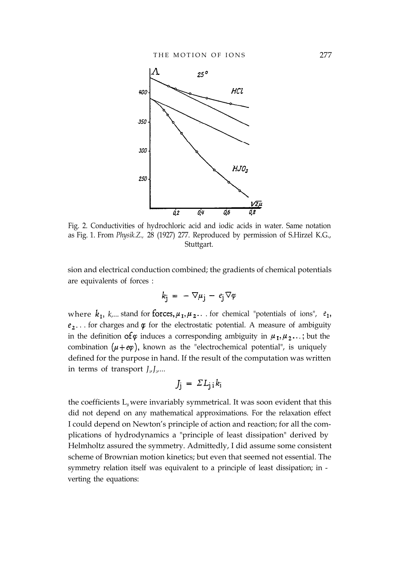

Fig. 2. Conductivities of hydrochloric acid and iodic acids in water. Same notation as Fig. 1. From *Physik.Z.,* 28 (1927) 277. Reproduced by permission of S.Hirzel K.G., Stuttgart.

sion and electrical conduction combined; the gradients of chemical potentials are equivalents of forces :

$$
k_{\mathbf{j}} = -\nabla \mu_{\mathbf{j}} - e_{\mathbf{j}} \nabla \varphi
$$

where  $k_1$ ,  $k_$ ... stand for **forces**,  $\mu_1$ ,  $\mu_2$ ... for chemical "potentials of ions",  $e_1$ ,  $e_2$ ... for charges and  $\varphi$  for the electrostatic potential. A measure of ambiguity in the definition of  $\varphi$  induces a corresponding ambiguity in  $\mu_1, \mu_2, \ldots$ ; but the combination  $(\mu + e\varphi)$ , known as the "electrochemical potential", is uniquely defined for the purpose in hand. If the result of the computation was written in terms of transport  $J_{\nu}J_{\nu}...$ 

$$
J_{\mathbf{j}} = \Sigma L_{\mathbf{j}\,i} k_{\mathbf{i}}
$$

the coefficients  $L_{\mu}$  were invariably symmetrical. It was soon evident that this did not depend on any mathematical approximations. For the relaxation effect I could depend on Newton's principle of action and reaction; for all the complications of hydrodynamics a "principle of least dissipation" derived by Helmholtz assured the symmetry. Admittedly, I did assume some consistent scheme of Brownian motion kinetics; but even that seemed not essential. The symmetry relation itself was equivalent to a principle of least dissipation; in verting the equations: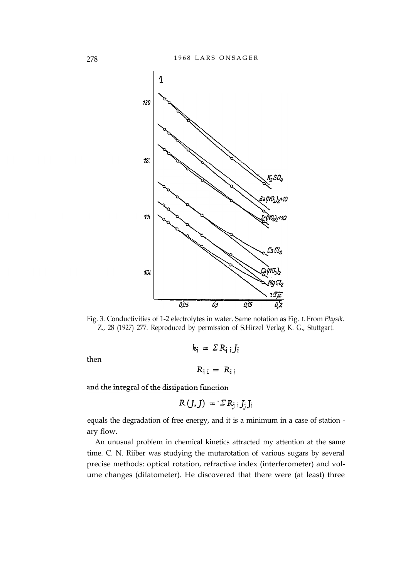

Fig. 3. Conductivities of 1-2 electrolytes in water. Same notation as Fig. I. From *Physik.* Z., 28 (1927) 277. Reproduced by permission of S.Hirzel Verlag K. G., Stuttgart.

then

$$
k_{\mathbf{i}} = 2 K_{\mathbf{i} \mathbf{i}} j_{\mathbf{i}}
$$

$$
R_{\mathbf{i} \mathbf{i}} = R_{\mathbf{i} \mathbf{i}}
$$

and the integral of the dissipation function

$$
R(J, J) = \Sigma R_{j,i} J_{j} J_{i}
$$

equals the degradation of free energy, and it is a minimum in a case of station ary flow.

An unusual problem in chemical kinetics attracted my attention at the same time. C. N. Riiber was studying the mutarotation of various sugars by several precise methods: optical rotation, refractive index (interferometer) and volume changes (dilatometer). He discovered that there were (at least) three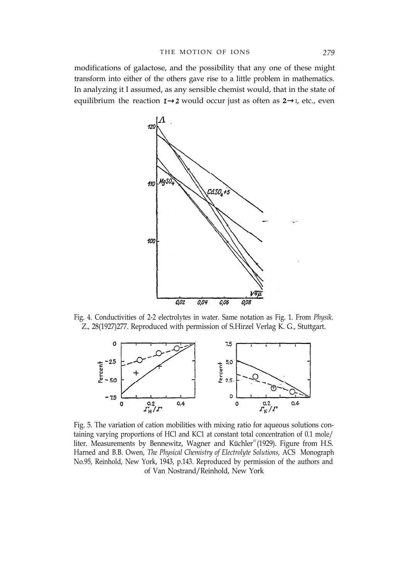modifications of galactose, and the possibility that any one of these might transform into either of the others gave rise to a little problem in mathematics. In analyzing it I assumed, as any sensible chemist would, that in the state of equilibrium the reaction  $I \rightarrow 2$  would occur just as often as  $2 \rightarrow I$ , etc., even



Fig. 4. Conductivities of 2-2 electrolytes in water. Same notation as Fig. 1. From *Physik.* Z., 28(1927)277. Reproduced with permission of S.Hirzel Verlag K. G., Stuttgart.



Fig. 5. The variation of cation mobilities with mixing ratio for aqueous solutions containing varying proportions of HCl and KC1 at constant total concentration of 0.1 mole/ liter. Measurements by Bennewitz, Wagner and Küchler<sup>10</sup> (1929). Figure from H.S. Harned and B.B. Owen, *The Physical Chemistry of Electrolyte Solutions,* ACS Monograph No.95, Reinhold, New York, 1943, p.143. Reproduced by permission of the authors and of Van Nostrand/Reinhold, New York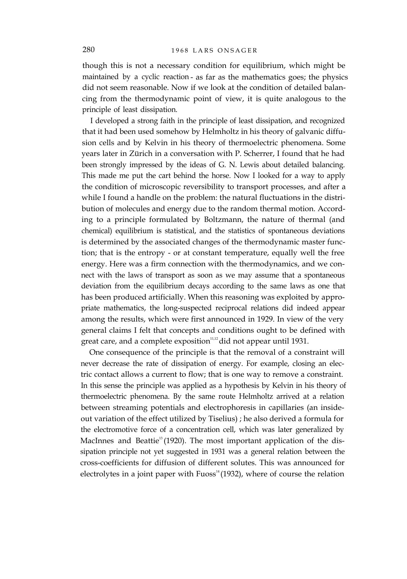though this is not a necessary condition for equilibrium, which might be maintained by a cyclic reaction - as far as the mathematics goes; the physics did not seem reasonable. Now if we look at the condition of detailed balancing from the thermodynamic point of view, it is quite analogous to the principle of least dissipation.

I developed a strong faith in the principle of least dissipation, and recognized that it had been used somehow by Helmholtz in his theory of galvanic diffusion cells and by Kelvin in his theory of thermoelectric phenomena. Some years later in Zürich in a conversation with P. Scherrer, I found that he had been strongly impressed by the ideas of G. N. Lewis about detailed balancing. This made me put the cart behind the horse. Now I looked for a way to apply the condition of microscopic reversibility to transport processes, and after a while I found a handle on the problem: the natural fluctuations in the distribution of molecules and energy due to the random thermal motion. According to a principle formulated by Boltzmann, the nature of thermal (and chemical) equilibrium is statistical, and the statistics of spontaneous deviations is determined by the associated changes of the thermodynamic master function; that is the entropy - or at constant temperature, equally well the free energy. Here was a firm connection with the thermodynamics, and we connect with the laws of transport as soon as we may assume that a spontaneous deviation from the equilibrium decays according to the same laws as one that has been produced artificially. When this reasoning was exploited by appropriate mathematics, the long-suspected reciprocal relations did indeed appear among the results, which were first announced in 1929. In view of the very general claims I felt that concepts and conditions ought to be defined with great care, and a complete exposition<sup>11,12</sup> did not appear until 1931.

One consequence of the principle is that the removal of a constraint will never decrease the rate of dissipation of energy. For example, closing an electric contact allows a current to flow; that is one way to remove a constraint. In this sense the principle was applied as a hypothesis by Kelvin in his theory of thermoelectric phenomena. By the same route Helmholtz arrived at a relation between streaming potentials and electrophoresis in capillaries (an insideout variation of the effect utilized by Tiselius) ; he also derived a formula for the electromotive force of a concentration cell, which was later generalized by MacInnes and Beattie<sup>13</sup> (1920). The most important application of the dissipation principle not yet suggested in 1931 was a general relation between the cross-coefficients for diffusion of different solutes. This was announced for electrolytes in a joint paper with  $F$ uoss $^{14}$ (1932), where of course the relation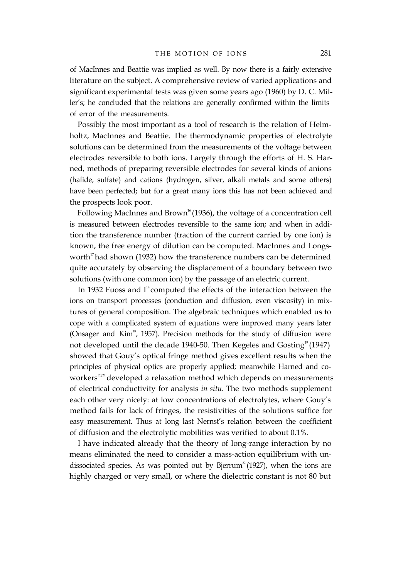of MacInnes and Beattie was implied as well. By now there is a fairly extensive literature on the subject. A comprehensive review of varied applications and significant experimental tests was given some years ago (1960) by D. C. Miller's; he concluded that the relations are generally confirmed within the limits of error of the measurements.

Possibly the most important as a tool of research is the relation of Helmholtz, MacInnes and Beattie. The thermodynamic properties of electrolyte solutions can be determined from the measurements of the voltage between electrodes reversible to both ions. Largely through the efforts of H. S. Harned, methods of preparing reversible electrodes for several kinds of anions (halide, sulfate) and cations (hydrogen, silver, alkali metals and some others) have been perfected; but for a great many ions this has not been achieved and the prospects look poor.

Following MacInnes and Brown<sup>16</sup> (1936), the voltage of a concentration cell is measured between electrodes reversible to the same ion; and when in addition the transference number (fraction of the current carried by one ion) is known, the free energy of dilution can be computed. MacInnes and Longsworth<sup>17</sup> had shown (1932) how the transference numbers can be determined quite accurately by observing the displacement of a boundary between two solutions (with one common ion) by the passage of an electric current.

In 1932 Fuoss and  $I^4$  computed the effects of the interaction between the ions on transport processes (conduction and diffusion, even viscosity) in mixtures of general composition. The algebraic techniques which enabled us to cope with a complicated system of equations were improved many years later (Onsager and Kim<sup>18</sup>, 1957). Precision methods for the study of diffusion were not developed until the decade 1940-50. Then Kegeles and Gosting<sup>19</sup> (1947) showed that Gouy's optical fringe method gives excellent results when the principles of physical optics are properly applied; meanwhile Harned and coworkers<sup>20,21</sup> developed a relaxation method which depends on measurements of electrical conductivity for analysis *in situ.* The two methods supplement each other very nicely: at low concentrations of electrolytes, where Gouy's method fails for lack of fringes, the resistivities of the solutions suffice for easy measurement. Thus at long last Nernst's relation between the coefficient of diffusion and the electrolytic mobilities was verified to about 0.1%.

I have indicated already that the theory of long-range interaction by no means eliminated the need to consider a mass-action equilibrium with undissociated species. As was pointed out by Bjerrum<sup>2</sup> (1927), when the ions are highly charged or very small, or where the dielectric constant is not 80 but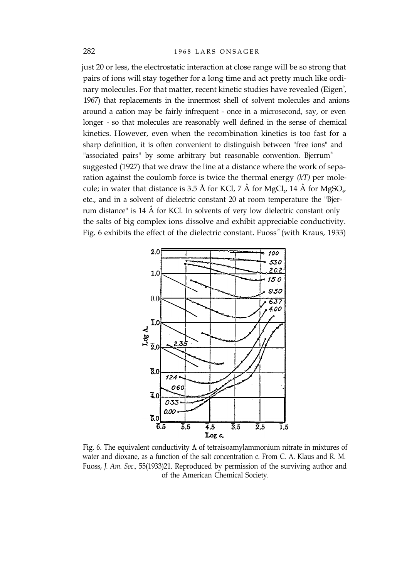just 20 or less, the electrostatic interaction at close range will be so strong that pairs of ions will stay together for a long time and act pretty much like ordinary molecules. For that matter, recent kinetic studies have revealed (Eigen<sup>9</sup>, 1967) that replacements in the innermost shell of solvent molecules and anions around a cation may be fairly infrequent - once in a microsecond, say, or even longer - so that molecules are reasonably well defined in the sense of chemical kinetics. However, even when the recombination kinetics is too fast for a sharp definition, it is often convenient to distinguish between "free ions" and "associated pairs" by some arbitrary but reasonable convention. Bjerrum<sup>21</sup> suggested (1927) that we draw the line at a distance where the work of separation against the coulomb force is twice the thermal energy *(kT)* per molecule; in water that distance is 3.5 Å for KCl, 7 Å for MgCl, 14 Å for MgSO<sub>4</sub> etc., and in a solvent of dielectric constant 20 at room temperature the "Bjerrum distance" is 14 Å for KCl. In solvents of very low dielectric constant only the salts of big complex ions dissolve and exhibit appreciable conductivity. Fig. 6 exhibits the effect of the dielectric constant. Fuoss<sup>23</sup> (with Kraus, 1933)



Fig. 6. The equivalent conductivity  $\Lambda$  of tetraisoamylammonium nitrate in mixtures of water and dioxane, as a function of the salt concentration c. From C. A. Klaus and R. M. Fuoss, *J. Am. Soc.,* 55(1933)21. Reproduced by permission of the surviving author and of the American Chemical Society.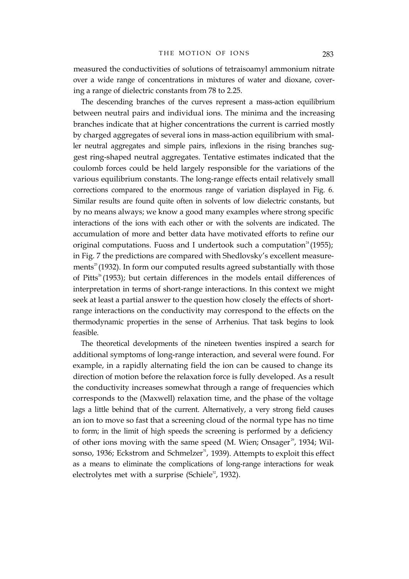measured the conductivities of solutions of tetraisoamyl ammonium nitrate over a wide range of concentrations in mixtures of water and dioxane, covering a range of dielectric constants from 78 to 2.25.

The descending branches of the curves represent a mass-action equilibrium between neutral pairs and individual ions. The minima and the increasing branches indicate that at higher concentrations the current is carried mostly by charged aggregates of several ions in mass-action equilibrium with smaller neutral aggregates and simple pairs, inflexions in the rising branches suggest ring-shaped neutral aggregates. Tentative estimates indicated that the coulomb forces could be held largely responsible for the variations of the various equilibrium constants. The long-range effects entail relatively small corrections compared to the enormous range of variation displayed in Fig. 6. Similar results are found quite often in solvents of low dielectric constants, but by no means always; we know a good many examples where strong specific interactions of the ions with each other or with the solvents are indicated. The accumulation of more and better data have motivated efforts to refine our original computations. Fuoss and I undertook such a computation<sup>24</sup> (1955); in Fig. 7 the predictions are compared with Shedlovsky's excellent measurements<sup>25</sup> (1932). In form our computed results agreed substantially with those of Pitts<sup>26</sup> (1953); but certain differences in the models entail differences of interpretation in terms of short-range interactions. In this context we might seek at least a partial answer to the question how closely the effects of shortrange interactions on the conductivity may correspond to the effects on the thermodynamic properties in the sense of Arrhenius. That task begins to look feasible.

The theoretical developments of the nineteen twenties inspired a search for additional symptoms of long-range interaction, and several were found. For example, in a rapidly alternating field the ion can be caused to change its direction of motion before the relaxation force is fully developed. As a result the conductivity increases somewhat through a range of frequencies which corresponds to the (Maxwell) relaxation time, and the phase of the voltage lags a little behind that of the current. Alternatively, a very strong field causes an ion to move so fast that a screening cloud of the normal type has no time to form; in the limit of high speeds the screening is performed by a deficiency of other ions moving with the same speed (M. Wien; Onsager<sup>29</sup>, 1934; Wilsonso, 1936; Eckstrom and Schmelzer $\mathrm{^{31}}$ , 1939). Attempts to exploit this effect as a means to eliminate the complications of long-range interactions for weak electrolytes met with a surprise (Schiele $^{32}$ , 1932).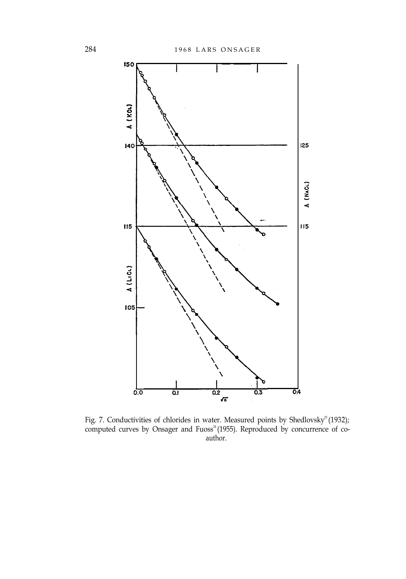

Fig. 7. Conductivities of chlorides in water. Measured points by Shedlovsky<sup>25</sup> (1932); computed curves by Onsager and Fuoss<sup>24</sup> (1955). Reproduced by concurrence of coauthor.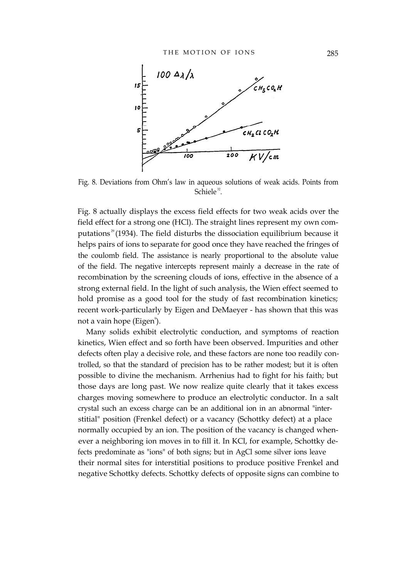

Fig. 8. Deviations from Ohm's law in aqueous solutions of weak acids. Points from Schiele $^{\mathrm{32}}$ .

Fig. 8 actually displays the excess field effects for two weak acids over the field effect for a strong one (HCl). The straight lines represent my own computations<sup> $29$ </sup> (1934). The field disturbs the dissociation equilibrium because it helps pairs of ions to separate for good once they have reached the fringes of the coulomb field. The assistance is nearly proportional to the absolute value of the field. The negative intercepts represent mainly a decrease in the rate of recombination by the screening clouds of ions, effective in the absence of a strong external field. In the light of such analysis, the Wien effect seemed to hold promise as a good tool for the study of fast recombination kinetics; recent work-particularly by Eigen and DeMaeyer - has shown that this was not a vain hope (Eigen<sup>°</sup>).

Many solids exhibit electrolytic conduction, and symptoms of reaction kinetics, Wien effect and so forth have been observed. Impurities and other defects often play a decisive role, and these factors are none too readily controlled, so that the standard of precision has to be rather modest; but it is often possible to divine the mechanism. Arrhenius had to fight for his faith; but those days are long past. We now realize quite clearly that it takes excess charges moving somewhere to produce an electrolytic conductor. In a salt crystal such an excess charge can be an additional ion in an abnormal "interstitial" position (Frenkel defect) or a vacancy (Schottky defect) at a place normally occupied by an ion. The position of the vacancy is changed whenever a neighboring ion moves in to fill it. In KCl, for example, Schottky defects predominate as "ions" of both signs; but in AgCl some silver ions leave their normal sites for interstitial positions to produce positive Frenkel and negative Schottky defects. Schottky defects of opposite signs can combine to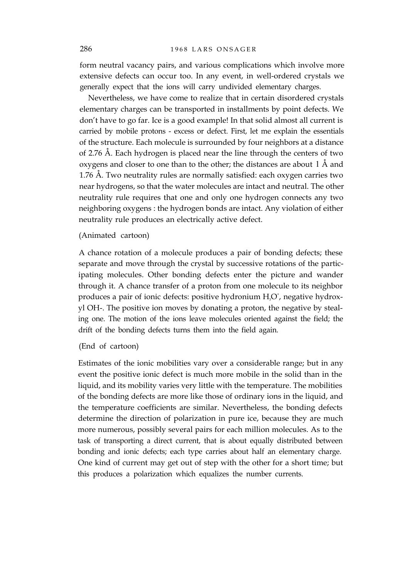form neutral vacancy pairs, and various complications which involve more extensive defects can occur too. In any event, in well-ordered crystals we generally expect that the ions will carry undivided elementary charges.

Nevertheless, we have come to realize that in certain disordered crystals elementary charges can be transported in installments by point defects. We don't have to go far. Ice is a good example! In that solid almost all current is carried by mobile protons - excess or defect. First, let me explain the essentials of the structure. Each molecule is surrounded by four neighbors at a distance of 2.76 Å. Each hydrogen is placed near the line through the centers of two oxygens and closer to one than to the other; the distances are about 1 Å and 1.76 Å. Two neutrality rules are normally satisfied: each oxygen carries two near hydrogens, so that the water molecules are intact and neutral. The other neutrality rule requires that one and only one hydrogen connects any two neighboring oxygens : the hydrogen bonds are intact. Any violation of either neutrality rule produces an electrically active defect.

## (Animated cartoon)

A chance rotation of a molecule produces a pair of bonding defects; these separate and move through the crystal by successive rotations of the participating molecules. Other bonding defects enter the picture and wander through it. A chance transfer of a proton from one molecule to its neighbor produces a pair of ionic defects: positive hydronium H<sub>3</sub>O<sup>+</sup>, negative hydroxyl OH-. The positive ion moves by donating a proton, the negative by stealing one. The motion of the ions leave molecules oriented against the field; the drift of the bonding defects turns them into the field again.

## (End of cartoon)

Estimates of the ionic mobilities vary over a considerable range; but in any event the positive ionic defect is much more mobile in the solid than in the liquid, and its mobility varies very little with the temperature. The mobilities of the bonding defects are more like those of ordinary ions in the liquid, and the temperature coefficients are similar. Nevertheless, the bonding defects determine the direction of polarization in pure ice, because they are much more numerous, possibly several pairs for each million molecules. As to the task of transporting a direct current, that is about equally distributed between bonding and ionic defects; each type carries about half an elementary charge. One kind of current may get out of step with the other for a short time; but this produces a polarization which equalizes the number currents.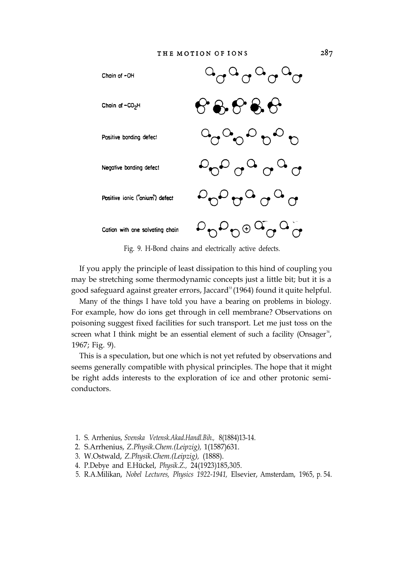

Fig. 9. H-Bond chains and electrically active defects.

If you apply the principle of least dissipation to this hind of coupling you may be stretching some thermodynamic concepts just a little bit; but it is a good safeguard against greater errors, Jaccard<sup>33</sup> (1964) found it quite helpful.

Many of the things I have told you have a bearing on problems in biology. For example, how do ions get through in cell membrane? Observations on poisoning suggest fixed facilities for such transport. Let me just toss on the screen what I think might be an essential element of such a facility (Onsager<sup>34</sup>, 1967; Fig. 9).

This is a speculation, but one which is not yet refuted by observations and seems generally compatible with physical principles. The hope that it might be right adds interests to the exploration of ice and other protonic semiconductors.

- 1. S. Arrhenius, *Svenska Vetensk.Akad.Handl.Bih.,* 8(1884)13-14.
- 2. S.Arrhenius, *Z.Physik.Chem.(Leipzig),* 1(1587)631.
- 3. W.Ostwald, *Z.Physik.Chem.(Leipzig),* (1888).
- 4. P.Debye and E.Hückel, *Physik.Z.,* 24(1923)185,305.
- 5. R.A.Milikan, *Nobel Lectures, Physics 1922-1941,* Elsevier, Amsterdam, 1965, p. 54.